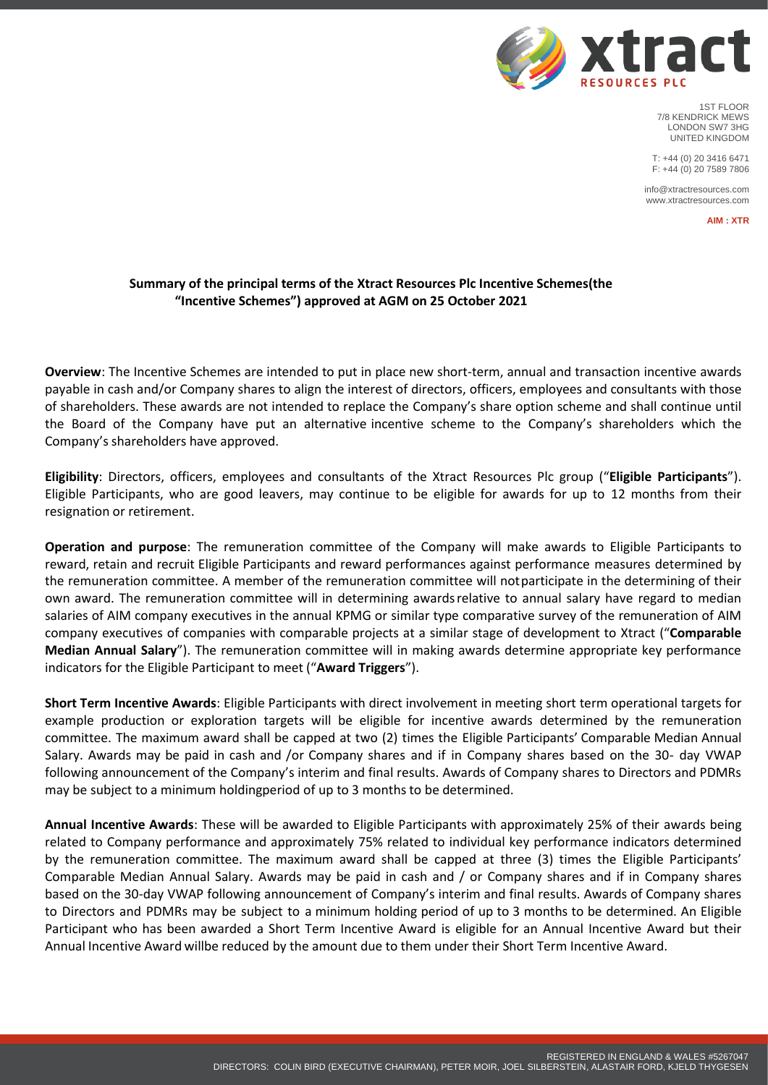

1ST FLOOR 7/8 KENDRICK MEWS LONDON SW7 3HG UNITED KINGDOM

T: +44 (0) 20 3416 6471 F: +44 (0) 20 7589 7806

info@xtractresources.com www.xtractresources.com

**AIM : XTR**

## **Summary of the principal terms of the Xtract Resources Plc Incentive Schemes(the "Incentive Schemes") approved at AGM on 25 October 2021**

**Overview**: The Incentive Schemes are intended to put in place new short-term, annual and transaction incentive awards payable in cash and/or Company shares to align the interest of directors, officers, employees and consultants with those of shareholders. These awards are not intended to replace the Company's share option scheme and shall continue until the Board of the Company have put an alternative incentive scheme to the Company's shareholders which the Company's shareholders have approved.

**Eligibility**: Directors, officers, employees and consultants of the Xtract Resources Plc group ("**Eligible Participants**"). Eligible Participants, who are good leavers, may continue to be eligible for awards for up to 12 months from their resignation or retirement.

**Operation and purpose**: The remuneration committee of the Company will make awards to Eligible Participants to reward, retain and recruit Eligible Participants and reward performances against performance measures determined by the remuneration committee. A member of the remuneration committee will notparticipate in the determining of their own award. The remuneration committee will in determining awardsrelative to annual salary have regard to median salaries of AIM company executives in the annual KPMG or similar type comparative survey of the remuneration of AIM company executives of companies with comparable projects at a similar stage of development to Xtract ("**Comparable Median Annual Salary**"). The remuneration committee will in making awards determine appropriate key performance indicators for the Eligible Participant to meet ("**Award Triggers**").

**Short Term Incentive Awards**: Eligible Participants with direct involvement in meeting short term operational targets for example production or exploration targets will be eligible for incentive awards determined by the remuneration committee. The maximum award shall be capped at two (2) times the Eligible Participants' Comparable Median Annual Salary. Awards may be paid in cash and /or Company shares and if in Company shares based on the 30- day VWAP following announcement of the Company's interim and final results. Awards of Company shares to Directors and PDMRs may be subject to a minimum holdingperiod of up to 3 months to be determined.

**Annual Incentive Awards**: These will be awarded to Eligible Participants with approximately 25% of their awards being related to Company performance and approximately 75% related to individual key performance indicators determined by the remuneration committee. The maximum award shall be capped at three (3) times the Eligible Participants' Comparable Median Annual Salary. Awards may be paid in cash and / or Company shares and if in Company shares based on the 30-day VWAP following announcement of Company's interim and final results. Awards of Company shares to Directors and PDMRs may be subject to a minimum holding period of up to 3 months to be determined. An Eligible Participant who has been awarded a Short Term Incentive Award is eligible for an Annual Incentive Award but their Annual Incentive Award willbe reduced by the amount due to them under their Short Term Incentive Award.